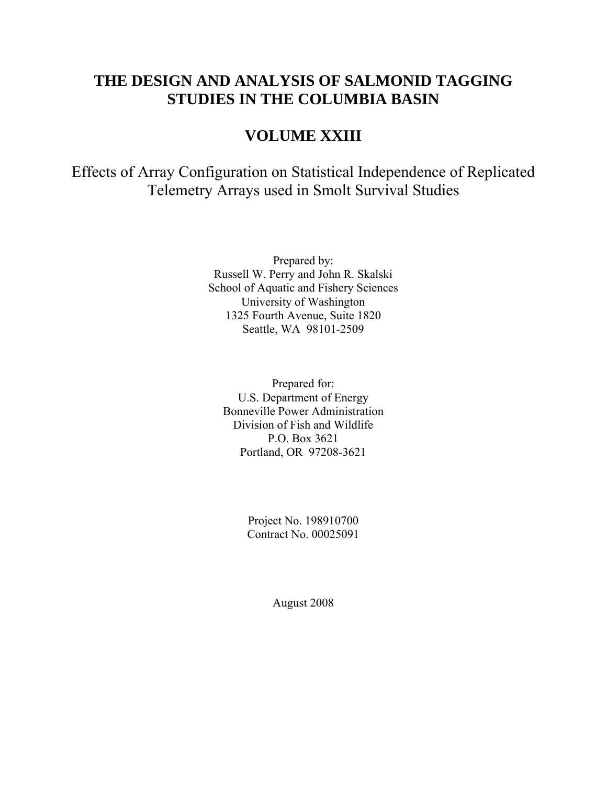# **THE DESIGN AND ANALYSIS OF SALMONID TAGGING STUDIES IN THE COLUMBIA BASIN**

# **VOLUME XXIII**

Effects of Array Configuration on Statistical Independence of Replicated Telemetry Arrays used in Smolt Survival Studies

> Prepared by: Russell W. Perry and John R. Skalski School of Aquatic and Fishery Sciences University of Washington 1325 Fourth Avenue, Suite 1820 Seattle, WA 98101-2509

Prepared for: U.S. Department of Energy Bonneville Power Administration Division of Fish and Wildlife P.O. Box 3621 Portland, OR 97208-3621

> Project No. 198910700 Contract No. 00025091

> > August 2008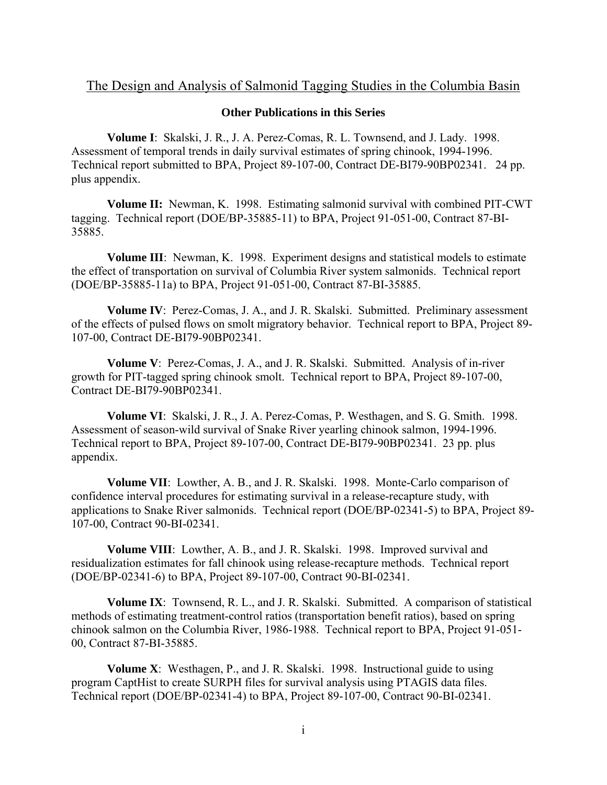### The Design and Analysis of Salmonid Tagging Studies in the Columbia Basin

#### **Other Publications in this Series**

**Volume I**: Skalski, J. R., J. A. Perez-Comas, R. L. Townsend, and J. Lady. 1998. Assessment of temporal trends in daily survival estimates of spring chinook, 1994-1996. Technical report submitted to BPA, Project 89-107-00, Contract DE-BI79-90BP02341. 24 pp. plus appendix.

**Volume II:** Newman, K. 1998. Estimating salmonid survival with combined PIT-CWT tagging. Technical report (DOE/BP-35885-11) to BPA, Project 91-051-00, Contract 87-BI-35885.

**Volume III**: Newman, K. 1998. Experiment designs and statistical models to estimate the effect of transportation on survival of Columbia River system salmonids. Technical report (DOE/BP-35885-11a) to BPA, Project 91-051-00, Contract 87-BI-35885.

**Volume IV**: Perez-Comas, J. A., and J. R. Skalski. Submitted. Preliminary assessment of the effects of pulsed flows on smolt migratory behavior. Technical report to BPA, Project 89- 107-00, Contract DE-BI79-90BP02341.

**Volume V**: Perez-Comas, J. A., and J. R. Skalski. Submitted. Analysis of in-river growth for PIT-tagged spring chinook smolt. Technical report to BPA, Project 89-107-00, Contract DE-BI79-90BP02341.

**Volume VI**: Skalski, J. R., J. A. Perez-Comas, P. Westhagen, and S. G. Smith. 1998. Assessment of season-wild survival of Snake River yearling chinook salmon, 1994-1996. Technical report to BPA, Project 89-107-00, Contract DE-BI79-90BP02341. 23 pp. plus appendix.

**Volume VII**: Lowther, A. B., and J. R. Skalski. 1998. Monte-Carlo comparison of confidence interval procedures for estimating survival in a release-recapture study, with applications to Snake River salmonids. Technical report (DOE/BP-02341-5) to BPA, Project 89- 107-00, Contract 90-BI-02341.

**Volume VIII**: Lowther, A. B., and J. R. Skalski. 1998. Improved survival and residualization estimates for fall chinook using release-recapture methods. Technical report (DOE/BP-02341-6) to BPA, Project 89-107-00, Contract 90-BI-02341.

**Volume IX**: Townsend, R. L., and J. R. Skalski. Submitted. A comparison of statistical methods of estimating treatment-control ratios (transportation benefit ratios), based on spring chinook salmon on the Columbia River, 1986-1988. Technical report to BPA, Project 91-051- 00, Contract 87-BI-35885.

**Volume X**: Westhagen, P., and J. R. Skalski. 1998. Instructional guide to using program CaptHist to create SURPH files for survival analysis using PTAGIS data files. Technical report (DOE/BP-02341-4) to BPA, Project 89-107-00, Contract 90-BI-02341.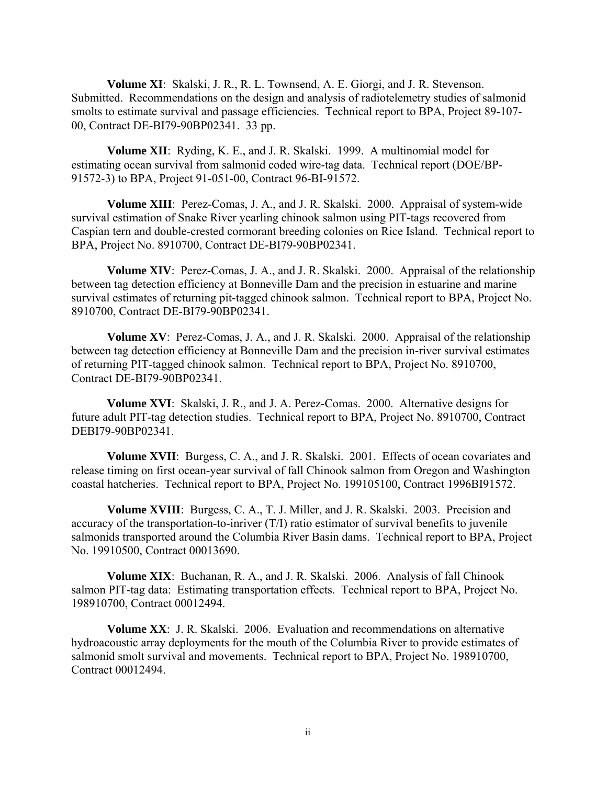**Volume XI**: Skalski, J. R., R. L. Townsend, A. E. Giorgi, and J. R. Stevenson. Submitted. Recommendations on the design and analysis of radiotelemetry studies of salmonid smolts to estimate survival and passage efficiencies. Technical report to BPA, Project 89-107- 00, Contract DE-BI79-90BP02341. 33 pp.

**Volume XII**: Ryding, K. E., and J. R. Skalski. 1999. A multinomial model for estimating ocean survival from salmonid coded wire-tag data. Technical report (DOE/BP-91572-3) to BPA, Project 91-051-00, Contract 96-BI-91572.

**Volume XIII**: Perez-Comas, J. A., and J. R. Skalski. 2000. Appraisal of system-wide survival estimation of Snake River yearling chinook salmon using PIT-tags recovered from Caspian tern and double-crested cormorant breeding colonies on Rice Island. Technical report to BPA, Project No. 8910700, Contract DE-BI79-90BP02341.

**Volume XIV**: Perez-Comas, J. A., and J. R. Skalski. 2000. Appraisal of the relationship between tag detection efficiency at Bonneville Dam and the precision in estuarine and marine survival estimates of returning pit-tagged chinook salmon. Technical report to BPA, Project No. 8910700, Contract DE-BI79-90BP02341.

**Volume XV**: Perez-Comas, J. A., and J. R. Skalski. 2000. Appraisal of the relationship between tag detection efficiency at Bonneville Dam and the precision in-river survival estimates of returning PIT-tagged chinook salmon. Technical report to BPA, Project No. 8910700, Contract DE-BI79-90BP02341.

**Volume XVI**: Skalski, J. R., and J. A. Perez-Comas. 2000. Alternative designs for future adult PIT-tag detection studies. Technical report to BPA, Project No. 8910700, Contract DEBI79-90BP02341.

**Volume XVII**: Burgess, C. A., and J. R. Skalski. 2001. Effects of ocean covariates and release timing on first ocean-year survival of fall Chinook salmon from Oregon and Washington coastal hatcheries. Technical report to BPA, Project No. 199105100, Contract 1996BI91572.

**Volume XVIII**: Burgess, C. A., T. J. Miller, and J. R. Skalski. 2003. Precision and accuracy of the transportation-to-inriver (T/I) ratio estimator of survival benefits to juvenile salmonids transported around the Columbia River Basin dams. Technical report to BPA, Project No. 19910500, Contract 00013690.

**Volume XIX**: Buchanan, R. A., and J. R. Skalski. 2006. Analysis of fall Chinook salmon PIT-tag data: Estimating transportation effects. Technical report to BPA, Project No. 198910700, Contract 00012494.

**Volume XX**: J. R. Skalski. 2006. Evaluation and recommendations on alternative hydroacoustic array deployments for the mouth of the Columbia River to provide estimates of salmonid smolt survival and movements. Technical report to BPA, Project No. 198910700, Contract 00012494.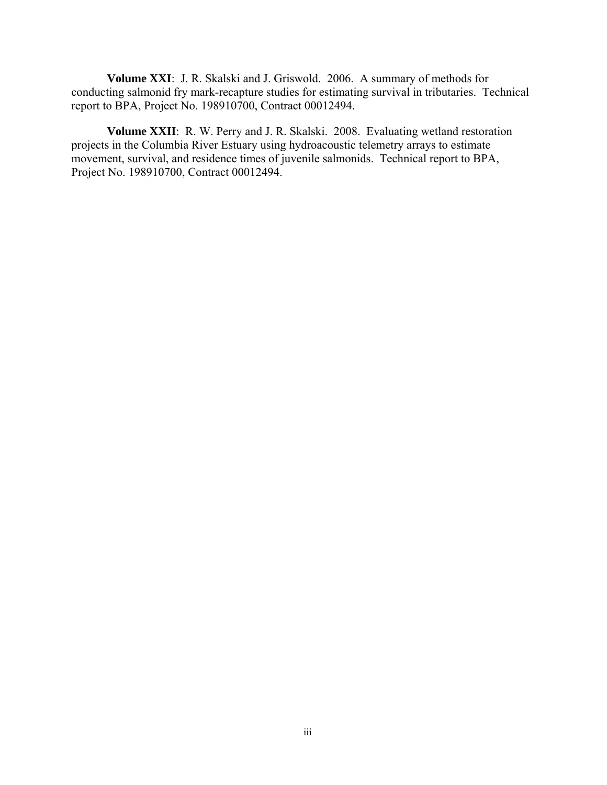**Volume XXI**: J. R. Skalski and J. Griswold. 2006. A summary of methods for conducting salmonid fry mark-recapture studies for estimating survival in tributaries. Technical report to BPA, Project No. 198910700, Contract 00012494.

**Volume XXII**: R. W. Perry and J. R. Skalski. 2008. Evaluating wetland restoration projects in the Columbia River Estuary using hydroacoustic telemetry arrays to estimate movement, survival, and residence times of juvenile salmonids. Technical report to BPA, Project No. 198910700, Contract 00012494.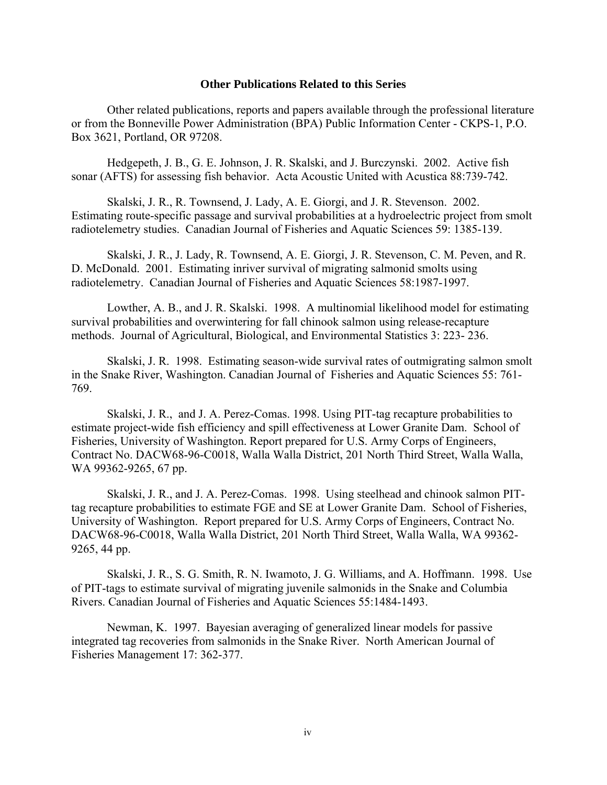#### **Other Publications Related to this Series**

 Other related publications, reports and papers available through the professional literature or from the Bonneville Power Administration (BPA) Public Information Center - CKPS-1, P.O. Box 3621, Portland, OR 97208.

Hedgepeth, J. B., G. E. Johnson, J. R. Skalski, and J. Burczynski. 2002. Active fish sonar (AFTS) for assessing fish behavior. Acta Acoustic United with Acustica 88:739-742.

Skalski, J. R., R. Townsend, J. Lady, A. E. Giorgi, and J. R. Stevenson. 2002. Estimating route-specific passage and survival probabilities at a hydroelectric project from smolt radiotelemetry studies. Canadian Journal of Fisheries and Aquatic Sciences 59: 1385-139.

Skalski, J. R., J. Lady, R. Townsend, A. E. Giorgi, J. R. Stevenson, C. M. Peven, and R. D. McDonald. 2001. Estimating inriver survival of migrating salmonid smolts using radiotelemetry. Canadian Journal of Fisheries and Aquatic Sciences 58:1987-1997.

Lowther, A. B., and J. R. Skalski. 1998. A multinomial likelihood model for estimating survival probabilities and overwintering for fall chinook salmon using release-recapture methods. Journal of Agricultural, Biological, and Environmental Statistics 3: 223- 236.

Skalski, J. R. 1998. Estimating season-wide survival rates of outmigrating salmon smolt in the Snake River, Washington. Canadian Journal of Fisheries and Aquatic Sciences 55: 761- 769.

Skalski, J. R., and J. A. Perez-Comas. 1998. Using PIT-tag recapture probabilities to estimate project-wide fish efficiency and spill effectiveness at Lower Granite Dam. School of Fisheries, University of Washington. Report prepared for U.S. Army Corps of Engineers, Contract No. DACW68-96-C0018, Walla Walla District, 201 North Third Street, Walla Walla, WA 99362-9265, 67 pp.

Skalski, J. R., and J. A. Perez-Comas. 1998. Using steelhead and chinook salmon PITtag recapture probabilities to estimate FGE and SE at Lower Granite Dam. School of Fisheries, University of Washington. Report prepared for U.S. Army Corps of Engineers, Contract No. DACW68-96-C0018, Walla Walla District, 201 North Third Street, Walla Walla, WA 99362- 9265, 44 pp.

Skalski, J. R., S. G. Smith, R. N. Iwamoto, J. G. Williams, and A. Hoffmann. 1998. Use of PIT-tags to estimate survival of migrating juvenile salmonids in the Snake and Columbia Rivers. Canadian Journal of Fisheries and Aquatic Sciences 55:1484-1493.

Newman, K. 1997. Bayesian averaging of generalized linear models for passive integrated tag recoveries from salmonids in the Snake River. North American Journal of Fisheries Management 17: 362-377.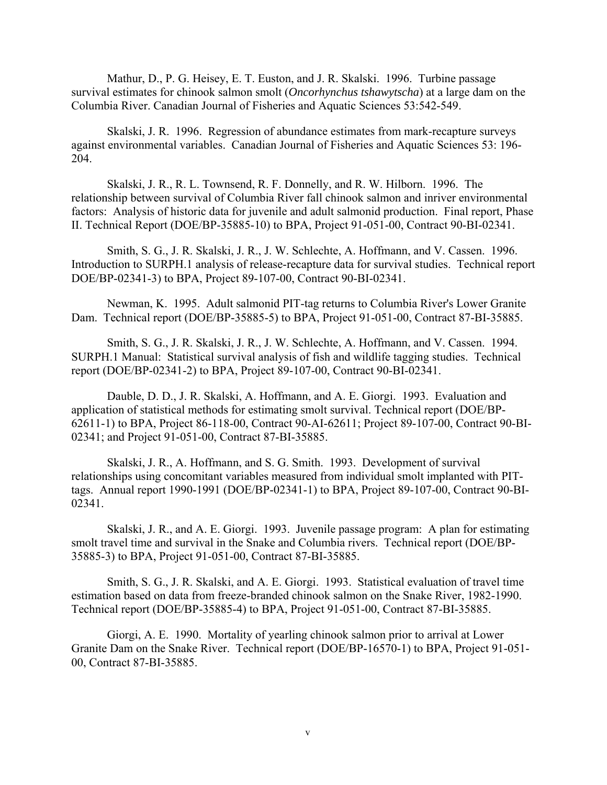Mathur, D., P. G. Heisey, E. T. Euston, and J. R. Skalski. 1996. Turbine passage survival estimates for chinook salmon smolt (*Oncorhynchus tshawytscha*) at a large dam on the Columbia River. Canadian Journal of Fisheries and Aquatic Sciences 53:542-549.

Skalski, J. R. 1996. Regression of abundance estimates from mark-recapture surveys against environmental variables. Canadian Journal of Fisheries and Aquatic Sciences 53: 196- 204.

Skalski, J. R., R. L. Townsend, R. F. Donnelly, and R. W. Hilborn. 1996. The relationship between survival of Columbia River fall chinook salmon and inriver environmental factors: Analysis of historic data for juvenile and adult salmonid production. Final report, Phase II. Technical Report (DOE/BP-35885-10) to BPA, Project 91-051-00, Contract 90-BI-02341.

Smith, S. G., J. R. Skalski, J. R., J. W. Schlechte, A. Hoffmann, and V. Cassen. 1996. Introduction to SURPH.1 analysis of release-recapture data for survival studies. Technical report DOE/BP-02341-3) to BPA, Project 89-107-00, Contract 90-BI-02341.

Newman, K. 1995. Adult salmonid PIT-tag returns to Columbia River's Lower Granite Dam. Technical report (DOE/BP-35885-5) to BPA, Project 91-051-00, Contract 87-BI-35885.

Smith, S. G., J. R. Skalski, J. R., J. W. Schlechte, A. Hoffmann, and V. Cassen. 1994. SURPH.1 Manual: Statistical survival analysis of fish and wildlife tagging studies. Technical report (DOE/BP-02341-2) to BPA, Project 89-107-00, Contract 90-BI-02341.

Dauble, D. D., J. R. Skalski, A. Hoffmann, and A. E. Giorgi. 1993. Evaluation and application of statistical methods for estimating smolt survival. Technical report (DOE/BP-62611-1) to BPA, Project 86-118-00, Contract 90-AI-62611; Project 89-107-00, Contract 90-BI-02341; and Project 91-051-00, Contract 87-BI-35885.

Skalski, J. R., A. Hoffmann, and S. G. Smith. 1993. Development of survival relationships using concomitant variables measured from individual smolt implanted with PITtags. Annual report 1990-1991 (DOE/BP-02341-1) to BPA, Project 89-107-00, Contract 90-BI-02341.

Skalski, J. R., and A. E. Giorgi. 1993. Juvenile passage program: A plan for estimating smolt travel time and survival in the Snake and Columbia rivers. Technical report (DOE/BP-35885-3) to BPA, Project 91-051-00, Contract 87-BI-35885.

Smith, S. G., J. R. Skalski, and A. E. Giorgi. 1993. Statistical evaluation of travel time estimation based on data from freeze-branded chinook salmon on the Snake River, 1982-1990. Technical report (DOE/BP-35885-4) to BPA, Project 91-051-00, Contract 87-BI-35885.

Giorgi, A. E. 1990. Mortality of yearling chinook salmon prior to arrival at Lower Granite Dam on the Snake River. Technical report (DOE/BP-16570-1) to BPA, Project 91-051- 00, Contract 87-BI-35885.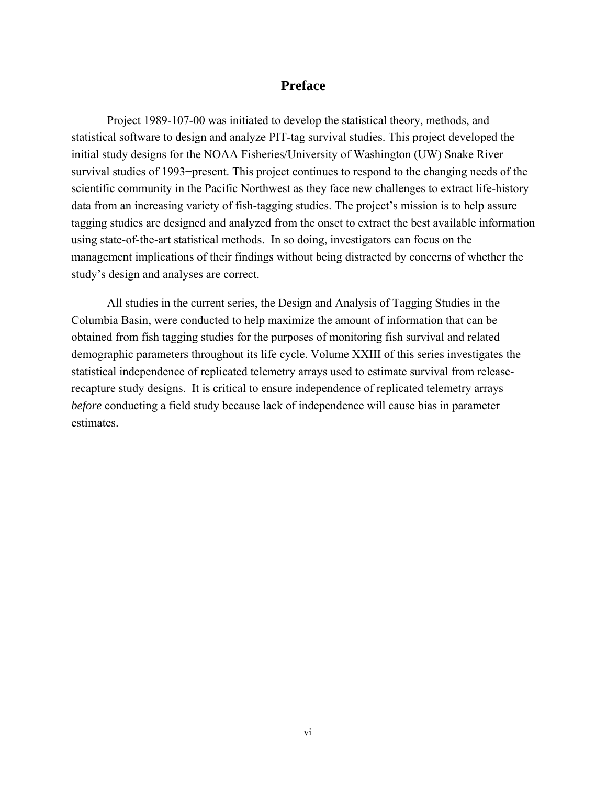### **Preface**

<span id="page-6-0"></span> Project 1989-107-00 was initiated to develop the statistical theory, methods, and statistical software to design and analyze PIT-tag survival studies. This project developed the initial study designs for the NOAA Fisheries/University of Washington (UW) Snake River survival studies of 1993−present. This project continues to respond to the changing needs of the scientific community in the Pacific Northwest as they face new challenges to extract life-history data from an increasing variety of fish-tagging studies. The project's mission is to help assure tagging studies are designed and analyzed from the onset to extract the best available information using state-of-the-art statistical methods. In so doing, investigators can focus on the management implications of their findings without being distracted by concerns of whether the study's design and analyses are correct.

 All studies in the current series, the Design and Analysis of Tagging Studies in the Columbia Basin, were conducted to help maximize the amount of information that can be obtained from fish tagging studies for the purposes of monitoring fish survival and related demographic parameters throughout its life cycle. Volume XXIII of this series investigates the statistical independence of replicated telemetry arrays used to estimate survival from releaserecapture study designs. It is critical to ensure independence of replicated telemetry arrays *before* conducting a field study because lack of independence will cause bias in parameter estimates.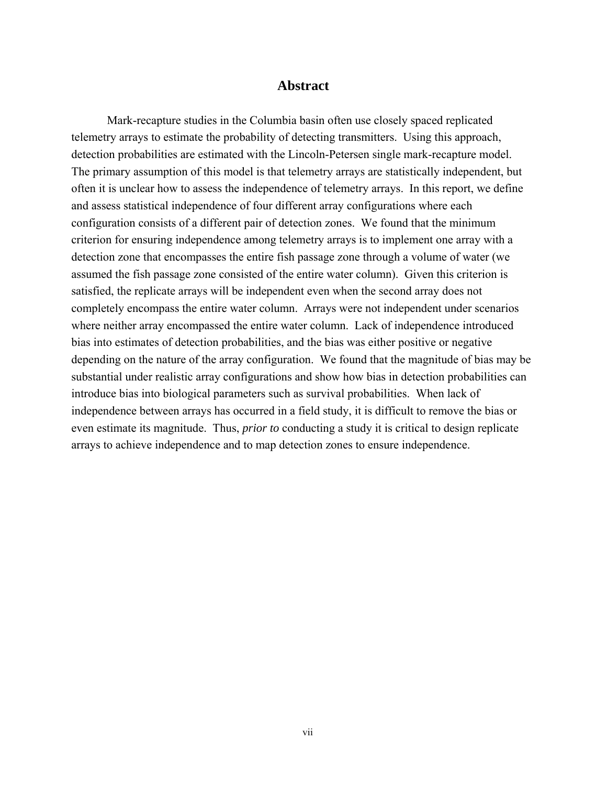### **Abstract**

<span id="page-7-0"></span> Mark-recapture studies in the Columbia basin often use closely spaced replicated telemetry arrays to estimate the probability of detecting transmitters. Using this approach, detection probabilities are estimated with the Lincoln-Petersen single mark-recapture model. The primary assumption of this model is that telemetry arrays are statistically independent, but often it is unclear how to assess the independence of telemetry arrays. In this report, we define and assess statistical independence of four different array configurations where each configuration consists of a different pair of detection zones. We found that the minimum criterion for ensuring independence among telemetry arrays is to implement one array with a detection zone that encompasses the entire fish passage zone through a volume of water (we assumed the fish passage zone consisted of the entire water column). Given this criterion is satisfied, the replicate arrays will be independent even when the second array does not completely encompass the entire water column. Arrays were not independent under scenarios where neither array encompassed the entire water column. Lack of independence introduced bias into estimates of detection probabilities, and the bias was either positive or negative depending on the nature of the array configuration. We found that the magnitude of bias may be substantial under realistic array configurations and show how bias in detection probabilities can introduce bias into biological parameters such as survival probabilities. When lack of independence between arrays has occurred in a field study, it is difficult to remove the bias or even estimate its magnitude. Thus, *prior to* conducting a study it is critical to design replicate arrays to achieve independence and to map detection zones to ensure independence.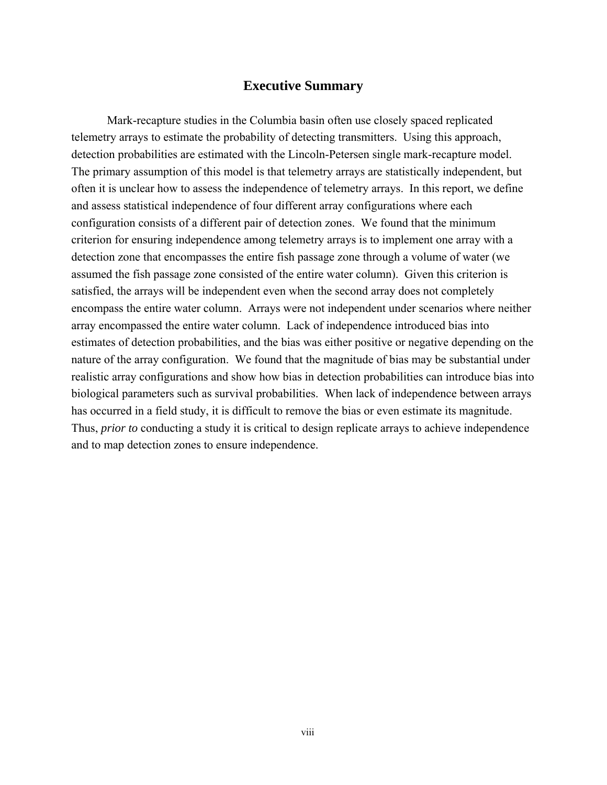### **Executive Summary**

<span id="page-8-0"></span> Mark-recapture studies in the Columbia basin often use closely spaced replicated telemetry arrays to estimate the probability of detecting transmitters. Using this approach, detection probabilities are estimated with the Lincoln-Petersen single mark-recapture model. The primary assumption of this model is that telemetry arrays are statistically independent, but often it is unclear how to assess the independence of telemetry arrays. In this report, we define and assess statistical independence of four different array configurations where each configuration consists of a different pair of detection zones. We found that the minimum criterion for ensuring independence among telemetry arrays is to implement one array with a detection zone that encompasses the entire fish passage zone through a volume of water (we assumed the fish passage zone consisted of the entire water column). Given this criterion is satisfied, the arrays will be independent even when the second array does not completely encompass the entire water column. Arrays were not independent under scenarios where neither array encompassed the entire water column. Lack of independence introduced bias into estimates of detection probabilities, and the bias was either positive or negative depending on the nature of the array configuration. We found that the magnitude of bias may be substantial under realistic array configurations and show how bias in detection probabilities can introduce bias into biological parameters such as survival probabilities. When lack of independence between arrays has occurred in a field study, it is difficult to remove the bias or even estimate its magnitude. Thus, *prior to* conducting a study it is critical to design replicate arrays to achieve independence and to map detection zones to ensure independence.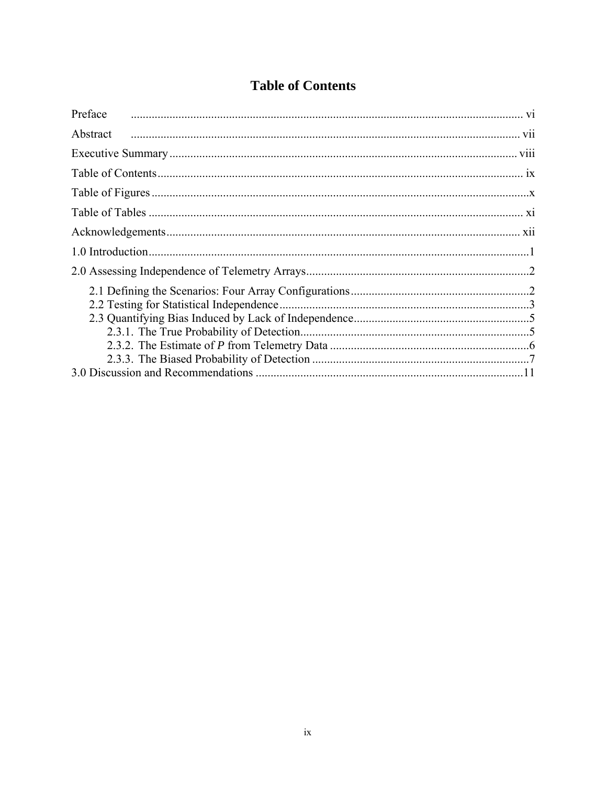# **Table of Contents**

<span id="page-9-0"></span>

| Preface  |  |
|----------|--|
| Abstract |  |
|          |  |
|          |  |
|          |  |
|          |  |
|          |  |
|          |  |
|          |  |
|          |  |
|          |  |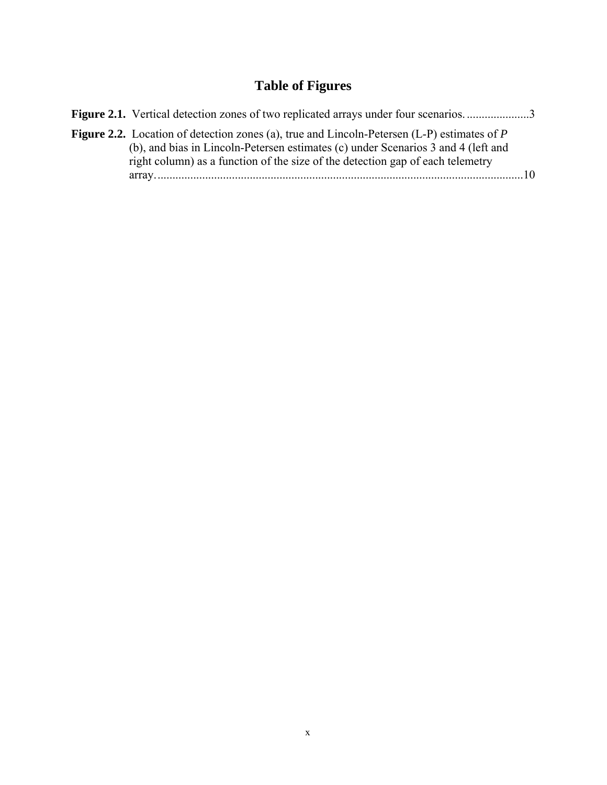# **Table of Figures**

<span id="page-10-0"></span>

| Figure 2.1. Vertical detection zones of two replicated arrays under four scenarios3                                                                                                                                                                                         |             |
|-----------------------------------------------------------------------------------------------------------------------------------------------------------------------------------------------------------------------------------------------------------------------------|-------------|
| <b>Figure 2.2.</b> Location of detection zones (a), true and Lincoln-Petersen (L-P) estimates of $P$<br>(b), and bias in Lincoln-Petersen estimates (c) under Scenarios 3 and 4 (left and<br>right column) as a function of the size of the detection gap of each telemetry |             |
|                                                                                                                                                                                                                                                                             | $\sqrt{10}$ |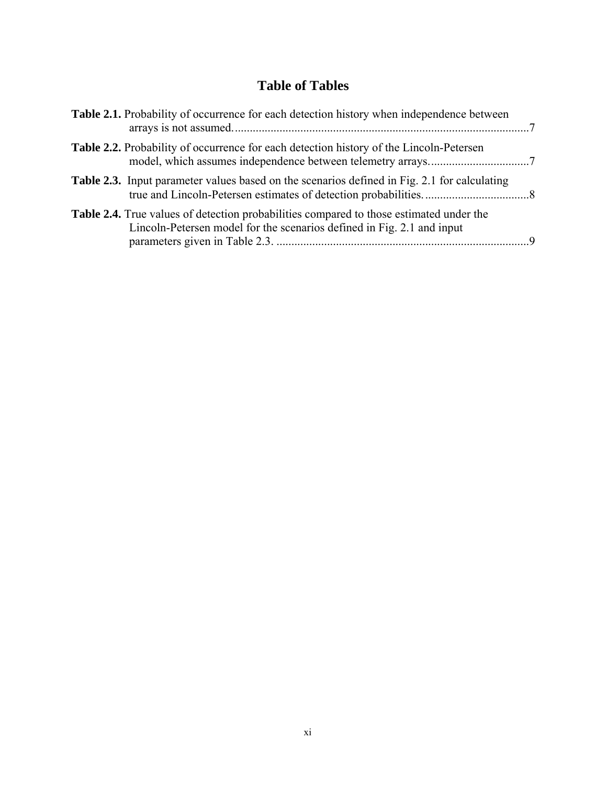# **Table of Tables**

<span id="page-11-0"></span>

| Table 2.1. Probability of occurrence for each detection history when independence between                                                                                |  |
|--------------------------------------------------------------------------------------------------------------------------------------------------------------------------|--|
| <b>Table 2.2.</b> Probability of occurrence for each detection history of the Lincoln-Petersen                                                                           |  |
| <b>Table 2.3.</b> Input parameter values based on the scenarios defined in Fig. 2.1 for calculating                                                                      |  |
| <b>Table 2.4.</b> True values of detection probabilities compared to those estimated under the<br>Lincoln-Petersen model for the scenarios defined in Fig. 2.1 and input |  |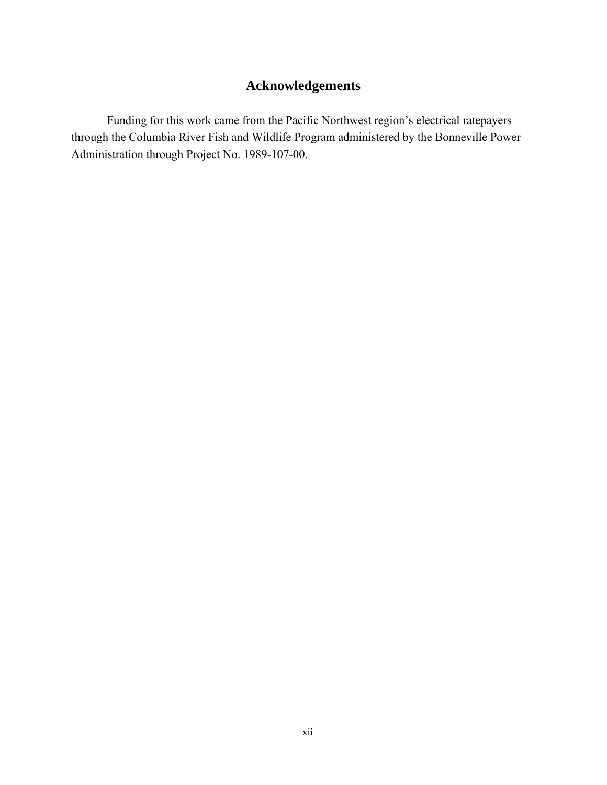# **Acknowledgements**

<span id="page-12-0"></span> Funding for this work came from the Pacific Northwest region's electrical ratepayers through the Columbia River Fish and Wildlife Program administered by the Bonneville Power Administration through Project No. 1989-107-00.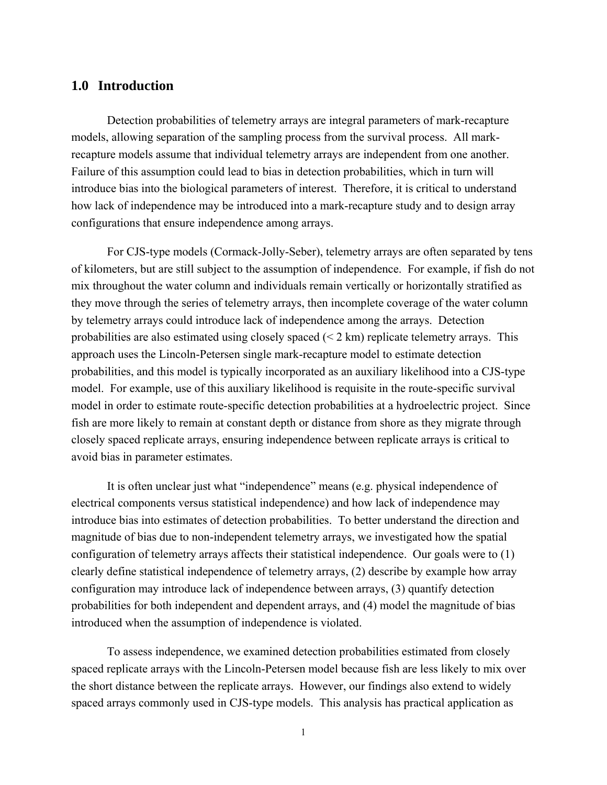### <span id="page-13-0"></span>**1.0 Introduction**

 Detection probabilities of telemetry arrays are integral parameters of mark-recapture models, allowing separation of the sampling process from the survival process. All markrecapture models assume that individual telemetry arrays are independent from one another. Failure of this assumption could lead to bias in detection probabilities, which in turn will introduce bias into the biological parameters of interest. Therefore, it is critical to understand how lack of independence may be introduced into a mark-recapture study and to design array configurations that ensure independence among arrays.

 For CJS-type models (Cormack-Jolly-Seber), telemetry arrays are often separated by tens of kilometers, but are still subject to the assumption of independence. For example, if fish do not mix throughout the water column and individuals remain vertically or horizontally stratified as they move through the series of telemetry arrays, then incomplete coverage of the water column by telemetry arrays could introduce lack of independence among the arrays. Detection probabilities are also estimated using closely spaced  $(< 2 \text{ km})$  replicate telemetry arrays. This approach uses the Lincoln-Petersen single mark-recapture model to estimate detection probabilities, and this model is typically incorporated as an auxiliary likelihood into a CJS-type model. For example, use of this auxiliary likelihood is requisite in the route-specific survival model in order to estimate route-specific detection probabilities at a hydroelectric project. Since fish are more likely to remain at constant depth or distance from shore as they migrate through closely spaced replicate arrays, ensuring independence between replicate arrays is critical to avoid bias in parameter estimates.

 It is often unclear just what "independence" means (e.g. physical independence of electrical components versus statistical independence) and how lack of independence may introduce bias into estimates of detection probabilities. To better understand the direction and magnitude of bias due to non-independent telemetry arrays, we investigated how the spatial configuration of telemetry arrays affects their statistical independence. Our goals were to (1) clearly define statistical independence of telemetry arrays, (2) describe by example how array configuration may introduce lack of independence between arrays, (3) quantify detection probabilities for both independent and dependent arrays, and (4) model the magnitude of bias introduced when the assumption of independence is violated.

 To assess independence, we examined detection probabilities estimated from closely spaced replicate arrays with the Lincoln-Petersen model because fish are less likely to mix over the short distance between the replicate arrays. However, our findings also extend to widely spaced arrays commonly used in CJS-type models. This analysis has practical application as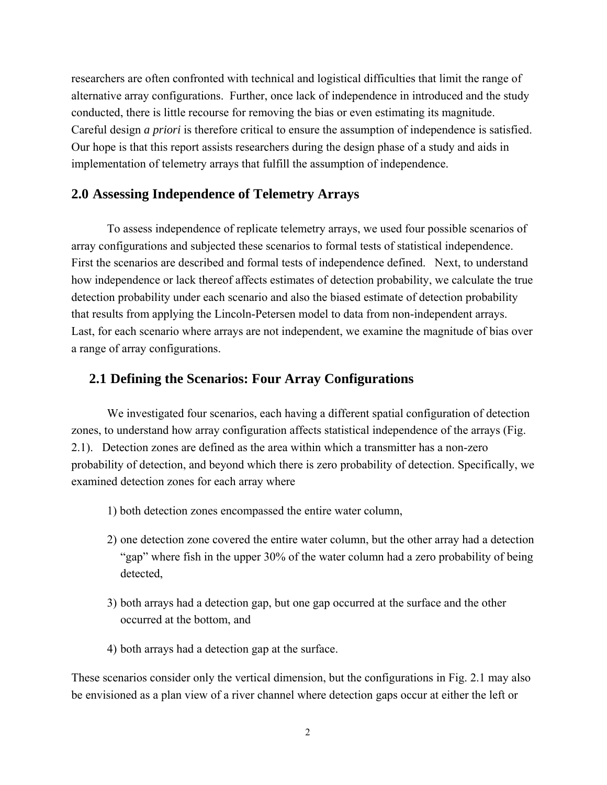<span id="page-14-0"></span>researchers are often confronted with technical and logistical difficulties that limit the range of alternative array configurations. Further, once lack of independence in introduced and the study conducted, there is little recourse for removing the bias or even estimating its magnitude. Careful design *a priori* is therefore critical to ensure the assumption of independence is satisfied. Our hope is that this report assists researchers during the design phase of a study and aids in implementation of telemetry arrays that fulfill the assumption of independence.

## **2.0 Assessing Independence of Telemetry Arrays**

 To assess independence of replicate telemetry arrays, we used four possible scenarios of array configurations and subjected these scenarios to formal tests of statistical independence. First the scenarios are described and formal tests of independence defined. Next, to understand how independence or lack thereof affects estimates of detection probability, we calculate the true detection probability under each scenario and also the biased estimate of detection probability that results from applying the Lincoln-Petersen model to data from non-independent arrays. Last, for each scenario where arrays are not independent, we examine the magnitude of bias over a range of array configurations.

### **2.1 Defining the Scenarios: Four Array Configurations**

 We investigated four scenarios, each having a different spatial configuration of detection zones, to understand how array configuration affects statistical independence of the arrays (Fig. 2.1). Detection zones are defined as the area within which a transmitter has a non-zero probability of detection, and beyond which there is zero probability of detection. Specifically, we examined detection zones for each array where

- 1) both detection zones encompassed the entire water column,
- 2) one detection zone covered the entire water column, but the other array had a detection "gap" where fish in the upper 30% of the water column had a zero probability of being detected,
- 3) both arrays had a detection gap, but one gap occurred at the surface and the other occurred at the bottom, and
- 4) both arrays had a detection gap at the surface.

These scenarios consider only the vertical dimension, but the configurations in Fig. 2.1 may also be envisioned as a plan view of a river channel where detection gaps occur at either the left or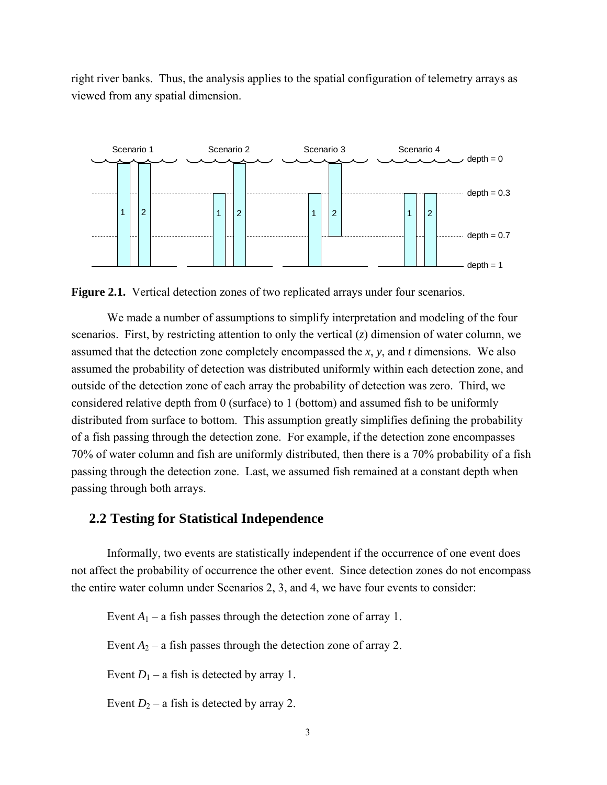<span id="page-15-0"></span>right river banks. Thus, the analysis applies to the spatial configuration of telemetry arrays as viewed from any spatial dimension.



**Figure 2.1.** Vertical detection zones of two replicated arrays under four scenarios.

 We made a number of assumptions to simplify interpretation and modeling of the four scenarios. First, by restricting attention to only the vertical (*z*) dimension of water column, we assumed that the detection zone completely encompassed the *x*, *y*, and *t* dimensions. We also assumed the probability of detection was distributed uniformly within each detection zone, and outside of the detection zone of each array the probability of detection was zero. Third, we considered relative depth from 0 (surface) to 1 (bottom) and assumed fish to be uniformly distributed from surface to bottom. This assumption greatly simplifies defining the probability of a fish passing through the detection zone. For example, if the detection zone encompasses 70% of water column and fish are uniformly distributed, then there is a 70% probability of a fish passing through the detection zone. Last, we assumed fish remained at a constant depth when passing through both arrays.

### **2.2 Testing for Statistical Independence**

 Informally, two events are statistically independent if the occurrence of one event does not affect the probability of occurrence the other event. Since detection zones do not encompass the entire water column under Scenarios 2, 3, and 4, we have four events to consider:

Event  $A_1$  – a fish passes through the detection zone of array 1.

Event  $A_2$  – a fish passes through the detection zone of array 2.

Event  $D_1$  – a fish is detected by array 1.

Event  $D_2$  – a fish is detected by array 2.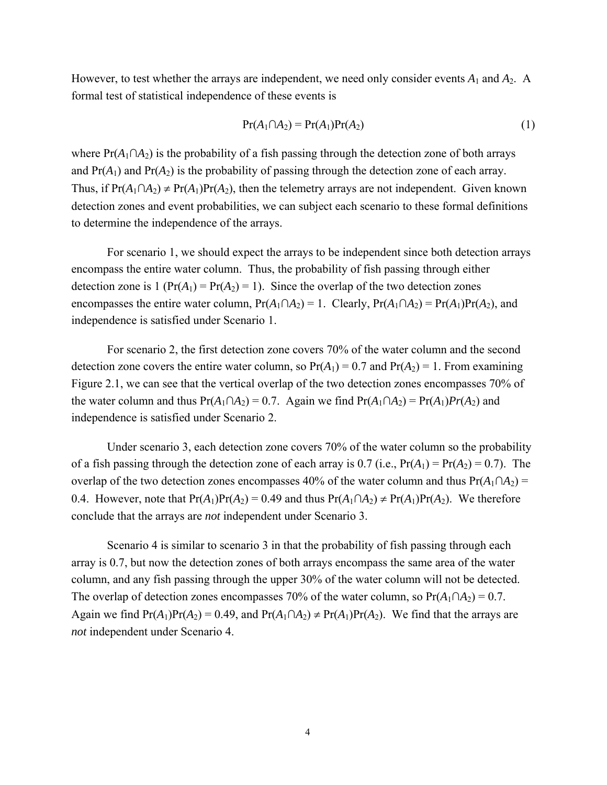However, to test whether the arrays are independent, we need only consider events  $A_1$  and  $A_2$ . A formal test of statistical independence of these events is

$$
Pr(A_1 \cap A_2) = Pr(A_1)Pr(A_2)
$$
\n(1)

where  $Pr(A_1 \cap A_2)$  is the probability of a fish passing through the detection zone of both arrays and  $Pr(A_1)$  and  $Pr(A_2)$  is the probability of passing through the detection zone of each array. Thus, if  $Pr(A_1 \cap A_2) \neq Pr(A_1)Pr(A_2)$ , then the telemetry arrays are not independent. Given known detection zones and event probabilities, we can subject each scenario to these formal definitions to determine the independence of the arrays.

 For scenario 1, we should expect the arrays to be independent since both detection arrays encompass the entire water column. Thus, the probability of fish passing through either detection zone is  $1 (Pr(A_1) = Pr(A_2) = 1)$ . Since the overlap of the two detection zones encompasses the entire water column,  $Pr(A_1 \cap A_2) = 1$ . Clearly,  $Pr(A_1 \cap A_2) = Pr(A_1)Pr(A_2)$ , and independence is satisfied under Scenario 1.

 For scenario 2, the first detection zone covers 70% of the water column and the second detection zone covers the entire water column, so  $Pr(A_1) = 0.7$  and  $Pr(A_2) = 1$ . From examining Figure 2.1, we can see that the vertical overlap of the two detection zones encompasses 70% of the water column and thus  $Pr(A_1 \cap A_2) = 0.7$ . Again we find  $Pr(A_1 \cap A_2) = Pr(A_1)Pr(A_2)$  and independence is satisfied under Scenario 2.

 Under scenario 3, each detection zone covers 70% of the water column so the probability of a fish passing through the detection zone of each array is 0.7 (i.e.,  $Pr(A_1) = Pr(A_2) = 0.7$ ). The overlap of the two detection zones encompasses 40% of the water column and thus  $Pr(A_1 \cap A_2)$  = 0.4. However, note that  $Pr(A_1)Pr(A_2) = 0.49$  and thus  $Pr(A_1 \cap A_2) \neq Pr(A_1)Pr(A_2)$ . We therefore conclude that the arrays are *not* independent under Scenario 3.

Scenario 4 is similar to scenario 3 in that the probability of fish passing through each array is 0.7, but now the detection zones of both arrays encompass the same area of the water column, and any fish passing through the upper 30% of the water column will not be detected. The overlap of detection zones encompasses 70% of the water column, so  $Pr(A_1 \cap A_2) = 0.7$ . Again we find  $Pr(A_1)Pr(A_2) = 0.49$ , and  $Pr(A_1 \cap A_2) \neq Pr(A_1)Pr(A_2)$ . We find that the arrays are *not* independent under Scenario 4.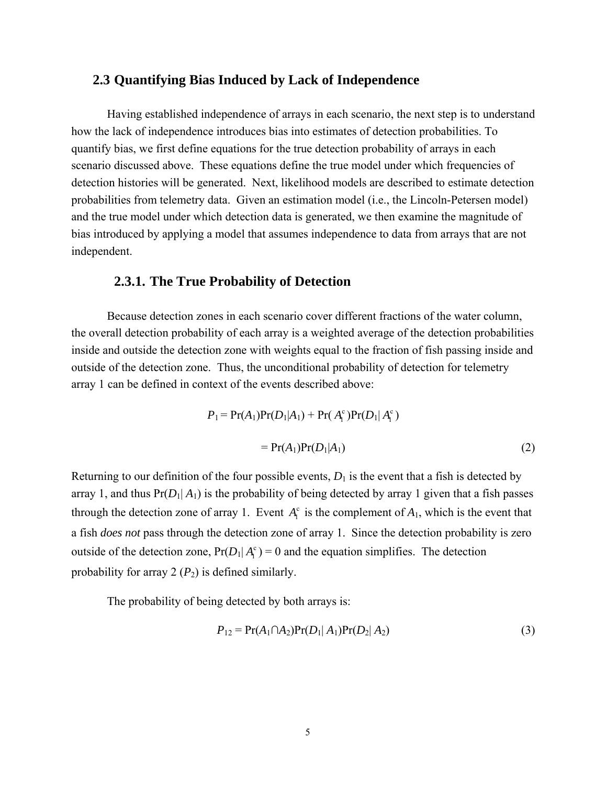### <span id="page-17-0"></span>**2.3 Quantifying Bias Induced by Lack of Independence**

 Having established independence of arrays in each scenario, the next step is to understand how the lack of independence introduces bias into estimates of detection probabilities. To quantify bias, we first define equations for the true detection probability of arrays in each scenario discussed above. These equations define the true model under which frequencies of detection histories will be generated. Next, likelihood models are described to estimate detection probabilities from telemetry data. Given an estimation model (i.e., the Lincoln-Petersen model) and the true model under which detection data is generated, we then examine the magnitude of bias introduced by applying a model that assumes independence to data from arrays that are not independent.

#### **2.3.1. The True Probability of Detection**

 Because detection zones in each scenario cover different fractions of the water column, the overall detection probability of each array is a weighted average of the detection probabilities inside and outside the detection zone with weights equal to the fraction of fish passing inside and outside of the detection zone. Thus, the unconditional probability of detection for telemetry array 1 can be defined in context of the events described above:

$$
P_1 = \Pr(A_1)\Pr(D_1|A_1) + \Pr(A_1^c)\Pr(D_1|A_1^c)
$$
  
=  $\Pr(A_1)\Pr(D_1|A_1)$  (2)

Returning to our definition of the four possible events,  $D_1$  is the event that a fish is detected by array 1, and thus  $Pr(D_1|A_1)$  is the probability of being detected by array 1 given that a fish passes through the detection zone of array 1. Event  $A_i^c$  is the complement of  $A_1$ , which is the event that a fish *does not* pass through the detection zone of array 1. Since the detection probability is zero outside of the detection zone,  $Pr(D_1 | A_1^c) = 0$  and the equation simplifies. The detection probability for array  $2(P_2)$  is defined similarly.

The probability of being detected by both arrays is:

$$
P_{12} = \Pr(A_1 \cap A_2) \Pr(D_1 | A_1) \Pr(D_2 | A_2) \tag{3}
$$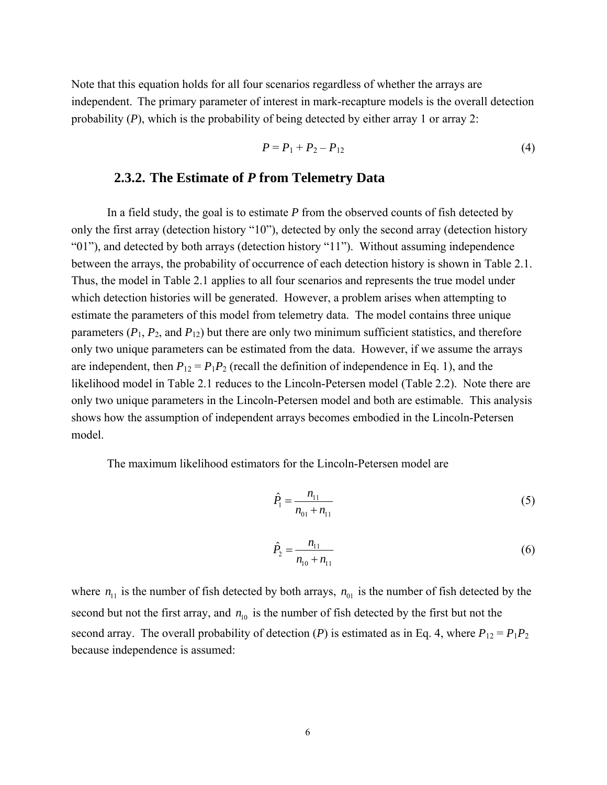<span id="page-18-0"></span>Note that this equation holds for all four scenarios regardless of whether the arrays are independent. The primary parameter of interest in mark-recapture models is the overall detection probability (*P*), which is the probability of being detected by either array 1 or array 2:

$$
P = P_1 + P_2 - P_{12} \tag{4}
$$

## **2.3.2. The Estimate of** *P* **from Telemetry Data**

 In a field study, the goal is to estimate *P* from the observed counts of fish detected by only the first array (detection history "10"), detected by only the second array (detection history "01"), and detected by both arrays (detection history "11"). Without assuming independence between the arrays, the probability of occurrence of each detection history is shown in Table 2.1. Thus, the model in Table 2.1 applies to all four scenarios and represents the true model under which detection histories will be generated. However, a problem arises when attempting to estimate the parameters of this model from telemetry data. The model contains three unique parameters  $(P_1, P_2, \text{ and } P_{12})$  but there are only two minimum sufficient statistics, and therefore only two unique parameters can be estimated from the data. However, if we assume the arrays are independent, then  $P_{12} = P_1 P_2$  (recall the definition of independence in Eq. 1), and the likelihood model in Table 2.1 reduces to the Lincoln-Petersen model (Table 2.2). Note there are only two unique parameters in the Lincoln-Petersen model and both are estimable. This analysis shows how the assumption of independent arrays becomes embodied in the Lincoln-Petersen model.

The maximum likelihood estimators for the Lincoln-Petersen model are

$$
\hat{P}_1 = \frac{n_{11}}{n_{01} + n_{11}}\tag{5}
$$

$$
\hat{P}_2 = \frac{n_{11}}{n_{10} + n_{11}}\tag{6}
$$

where  $n_{11}$  is the number of fish detected by both arrays,  $n_{01}$  is the number of fish detected by the second but not the first array, and  $n_{10}$  is the number of fish detected by the first but not the second array. The overall probability of detection (*P*) is estimated as in Eq. 4, where  $P_{12} = P_1 P_2$ because independence is assumed: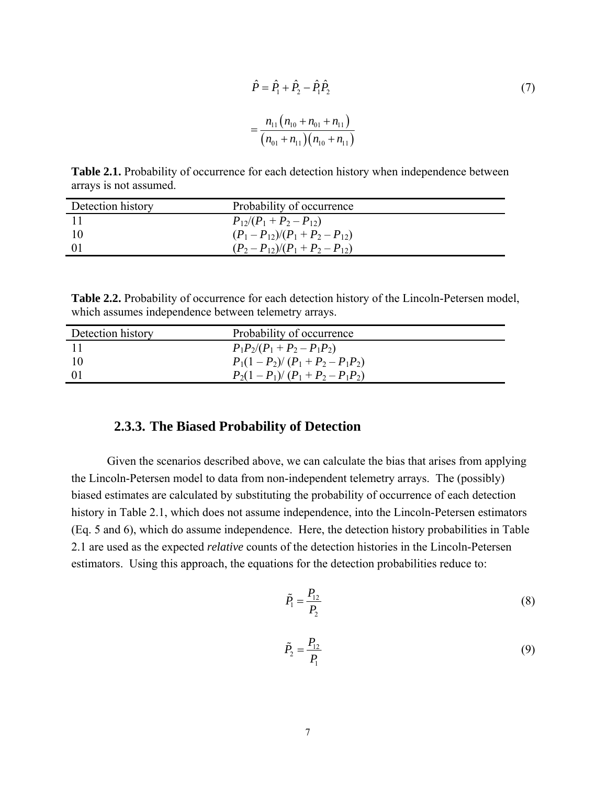<span id="page-19-0"></span>
$$
\hat{P} = \hat{P}_1 + \hat{P}_2 - \hat{P}_1 \hat{P}_2
$$
\n
$$
= \frac{n_{11} (n_{10} + n_{01} + n_{11})}{(n_{01} + n_{11})(n_{10} + n_{11})}
$$
\n(7)

**Table 2.1.** Probability of occurrence for each detection history when independence between arrays is not assumed.

| Detection history | Probability of occurrence       |
|-------------------|---------------------------------|
|                   | $P_{12}/(P_1+P_2-P_{12})$       |
|                   | $(P_1-P_{12})/(P_1+P_2-P_{12})$ |
| -01               | $(P_2-P_{12})/(P_1+P_2-P_{12})$ |

**Table 2.2.** Probability of occurrence for each detection history of the Lincoln-Petersen model, which assumes independence between telemetry arrays.

| Detection history | Probability of occurrence     |
|-------------------|-------------------------------|
|                   | $P_1P_2/(P_1+P_2-P_1P_2)$     |
|                   | $P_1(1-P_2)/(P_1+P_2-P_1P_2)$ |
| -01               | $P_2(1-P_1)/(P_1+P_2-P_1P_2)$ |

## **2.3.3. The Biased Probability of Detection**

 Given the scenarios described above, we can calculate the bias that arises from applying the Lincoln-Petersen model to data from non-independent telemetry arrays. The (possibly) biased estimates are calculated by substituting the probability of occurrence of each detection history in Table 2.1, which does not assume independence, into the Lincoln-Petersen estimators (Eq. 5 and 6), which do assume independence. Here, the detection history probabilities in Table 2.1 are used as the expected *relative* counts of the detection histories in the Lincoln-Petersen estimators. Using this approach, the equations for the detection probabilities reduce to:

$$
\tilde{P}_1 = \frac{P_{12}}{P_2} \tag{8}
$$

$$
\tilde{P}_2 = \frac{P_{12}}{P_1} \tag{9}
$$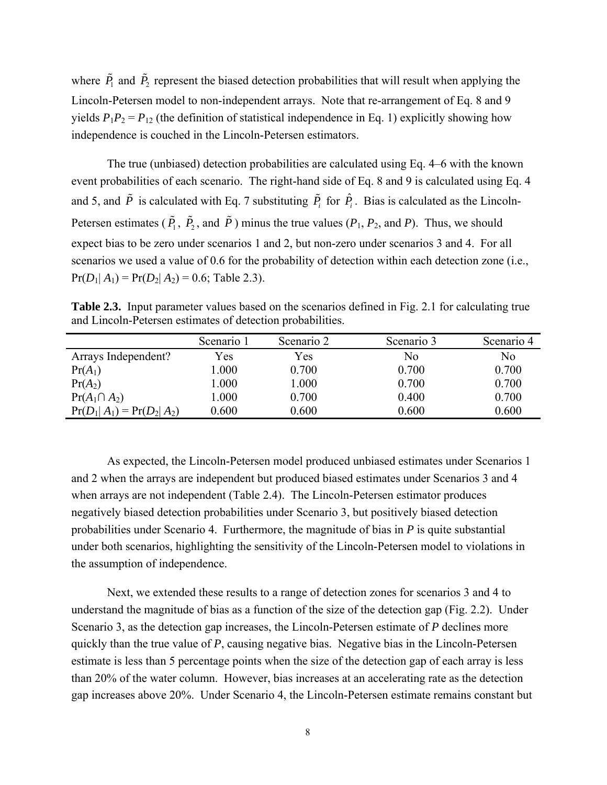<span id="page-20-0"></span>where  $\tilde{P}_1$  and  $\tilde{P}_2$  represent the biased detection probabilities that will result when applying the Lincoln-Petersen model to non-independent arrays. Note that re-arrangement of Eq. 8 and 9 yields  $P_1P_2 = P_{12}$  (the definition of statistical independence in Eq. 1) explicitly showing how independence is couched in the Lincoln-Petersen estimators.

 The true (unbiased) detection probabilities are calculated using Eq. 4–6 with the known event probabilities of each scenario. The right-hand side of Eq. 8 and 9 is calculated using Eq. 4 and 5, and  $\tilde{P}$  is calculated with Eq. 7 substituting  $\tilde{P}_i$  for  $\hat{P}_i$ . Bias is calculated as the Lincoln-Petersen estimates ( $\tilde{P}_1$ ,  $\tilde{P}_2$ , and  $\tilde{P}$ ) minus the true values ( $P_1$ ,  $P_2$ , and  $P$ ). Thus, we should expect bias to be zero under scenarios 1 and 2, but non-zero under scenarios 3 and 4. For all scenarios we used a value of 0.6 for the probability of detection within each detection zone (i.e.,  $Pr(D_1| A_1) = Pr(D_2| A_2) = 0.6$ ; Table 2.3).

**Table 2.3.** Input parameter values based on the scenarios defined in Fig. 2.1 for calculating true and Lincoln-Petersen estimates of detection probabilities.

|                             | Scenario 1 | Scenario 2 | Scenario 3 | Scenario 4 |
|-----------------------------|------------|------------|------------|------------|
| Arrays Independent?         | Yes        | Yes        | No         | No         |
| $Pr(A_1)$                   | 1.000      | 0.700      | 0.700      | 0.700      |
| $Pr(A_2)$                   | 1.000      | 1.000      | 0.700      | 0.700      |
| $Pr(A_1 \cap A_2)$          | 1.000      | 0.700      | 0.400      | 0.700      |
| $Pr(D_1 A_1) = Pr(D_2 A_2)$ | 0.600      | 0.600      | 0.600      | 0.600      |

 As expected, the Lincoln-Petersen model produced unbiased estimates under Scenarios 1 and 2 when the arrays are independent but produced biased estimates under Scenarios 3 and 4 when arrays are not independent (Table 2.4). The Lincoln-Petersen estimator produces negatively biased detection probabilities under Scenario 3, but positively biased detection probabilities under Scenario 4. Furthermore, the magnitude of bias in *P* is quite substantial under both scenarios, highlighting the sensitivity of the Lincoln-Petersen model to violations in the assumption of independence.

 Next, we extended these results to a range of detection zones for scenarios 3 and 4 to understand the magnitude of bias as a function of the size of the detection gap (Fig. 2.2). Under Scenario 3, as the detection gap increases, the Lincoln-Petersen estimate of *P* declines more quickly than the true value of *P*, causing negative bias. Negative bias in the Lincoln-Petersen estimate is less than 5 percentage points when the size of the detection gap of each array is less than 20% of the water column. However, bias increases at an accelerating rate as the detection gap increases above 20%. Under Scenario 4, the Lincoln-Petersen estimate remains constant but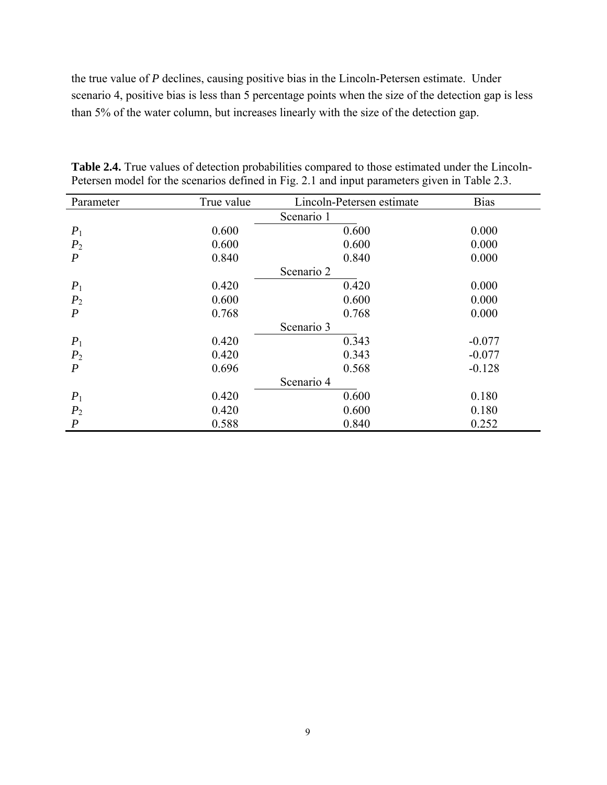<span id="page-21-0"></span>the true value of *P* declines, causing positive bias in the Lincoln-Petersen estimate. Under scenario 4, positive bias is less than 5 percentage points when the size of the detection gap is less than 5% of the water column, but increases linearly with the size of the detection gap.

| Parameter        | True value | Lincoln-Petersen estimate | <b>Bias</b> |  |  |
|------------------|------------|---------------------------|-------------|--|--|
| Scenario 1       |            |                           |             |  |  |
| $P_1$            | 0.600      | 0.600                     | 0.000       |  |  |
| P <sub>2</sub>   | 0.600      | 0.600                     | 0.000       |  |  |
| $\overline{P}$   | 0.840      | 0.840                     | 0.000       |  |  |
| Scenario 2       |            |                           |             |  |  |
| $P_1$            | 0.420      | 0.420                     | 0.000       |  |  |
| P <sub>2</sub>   | 0.600      | 0.600                     | 0.000       |  |  |
| $\boldsymbol{P}$ | 0.768      | 0.768                     | 0.000       |  |  |
| Scenario 3       |            |                           |             |  |  |
| $P_1$            | 0.420      | 0.343                     | $-0.077$    |  |  |
| P <sub>2</sub>   | 0.420      | 0.343                     | $-0.077$    |  |  |
| $\boldsymbol{P}$ | 0.696      | 0.568                     | $-0.128$    |  |  |
| Scenario 4       |            |                           |             |  |  |
| $P_1$            | 0.420      | 0.600                     | 0.180       |  |  |
| P <sub>2</sub>   | 0.420      | 0.600                     | 0.180       |  |  |
| $\boldsymbol{P}$ | 0.588      | 0.840                     | 0.252       |  |  |

**Table 2.4.** True values of detection probabilities compared to those estimated under the Lincoln-Petersen model for the scenarios defined in Fig. 2.1 and input parameters given in Table 2.3.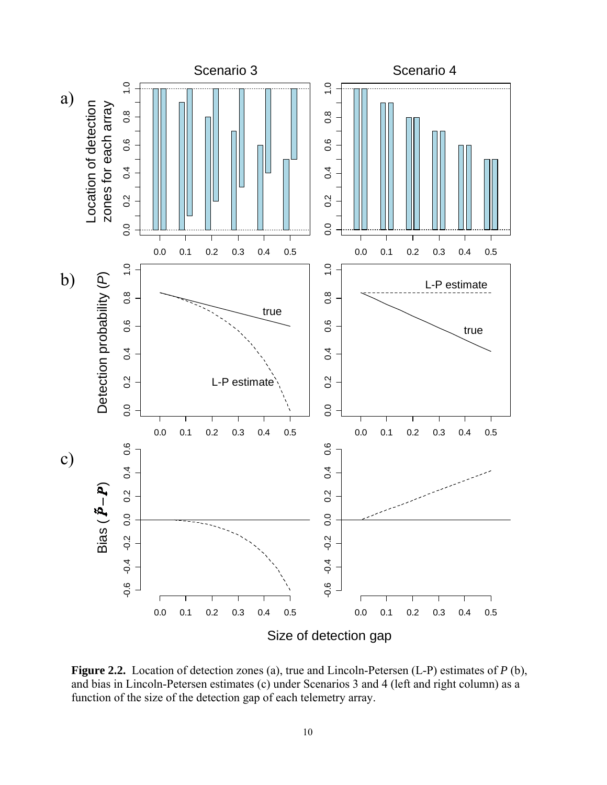<span id="page-22-0"></span>

**Figure 2.2.** Location of detection zones (a), true and Lincoln-Petersen (L-P) estimates of *P* (b), and bias in Lincoln-Petersen estimates (c) under Scenarios 3 and 4 (left and right column) as a function of the size of the detection gap of each telemetry array.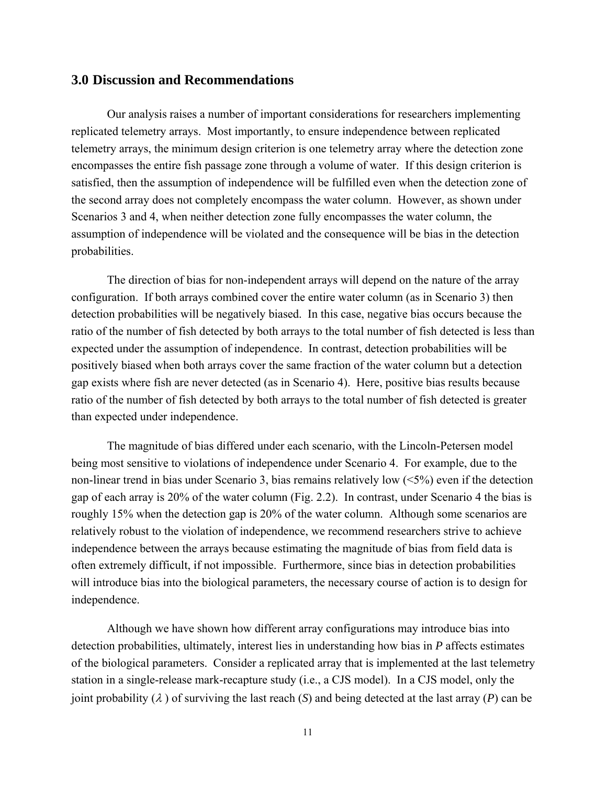#### <span id="page-23-0"></span>**3.0 Discussion and Recommendations**

 Our analysis raises a number of important considerations for researchers implementing replicated telemetry arrays. Most importantly, to ensure independence between replicated telemetry arrays, the minimum design criterion is one telemetry array where the detection zone encompasses the entire fish passage zone through a volume of water. If this design criterion is satisfied, then the assumption of independence will be fulfilled even when the detection zone of the second array does not completely encompass the water column. However, as shown under Scenarios 3 and 4, when neither detection zone fully encompasses the water column, the assumption of independence will be violated and the consequence will be bias in the detection probabilities.

 The direction of bias for non-independent arrays will depend on the nature of the array configuration. If both arrays combined cover the entire water column (as in Scenario 3) then detection probabilities will be negatively biased. In this case, negative bias occurs because the ratio of the number of fish detected by both arrays to the total number of fish detected is less than expected under the assumption of independence. In contrast, detection probabilities will be positively biased when both arrays cover the same fraction of the water column but a detection gap exists where fish are never detected (as in Scenario 4). Here, positive bias results because ratio of the number of fish detected by both arrays to the total number of fish detected is greater than expected under independence.

 The magnitude of bias differed under each scenario, with the Lincoln-Petersen model being most sensitive to violations of independence under Scenario 4. For example, due to the non-linear trend in bias under Scenario 3, bias remains relatively low  $(<5\%)$  even if the detection gap of each array is 20% of the water column (Fig. 2.2). In contrast, under Scenario 4 the bias is roughly 15% when the detection gap is 20% of the water column. Although some scenarios are relatively robust to the violation of independence, we recommend researchers strive to achieve independence between the arrays because estimating the magnitude of bias from field data is often extremely difficult, if not impossible. Furthermore, since bias in detection probabilities will introduce bias into the biological parameters, the necessary course of action is to design for independence.

 Although we have shown how different array configurations may introduce bias into detection probabilities, ultimately, interest lies in understanding how bias in *P* affects estimates of the biological parameters. Consider a replicated array that is implemented at the last telemetry station in a single-release mark-recapture study (i.e., a CJS model). In a CJS model, only the joint probability  $(\lambda)$  of surviving the last reach  $(S)$  and being detected at the last array  $(P)$  can be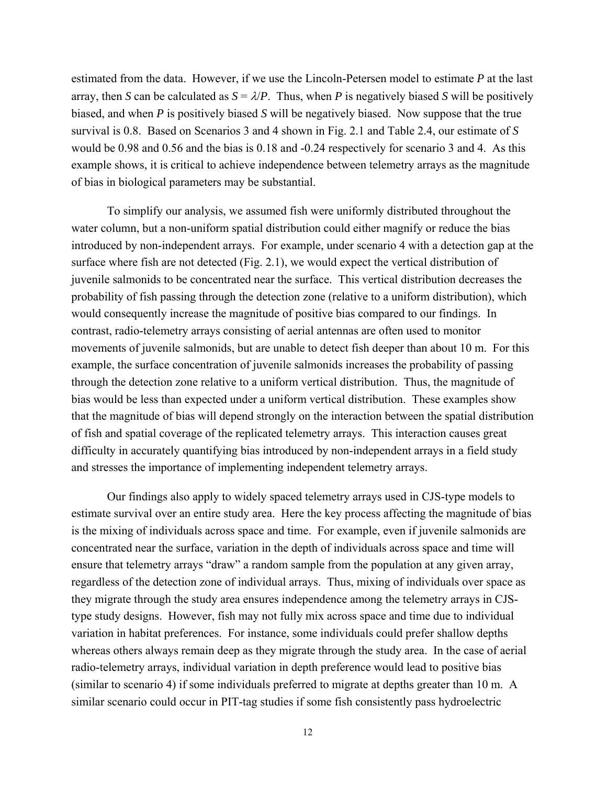estimated from the data. However, if we use the Lincoln-Petersen model to estimate *P* at the last array, then *S* can be calculated as  $S = \lambda / P$ . Thus, when *P* is negatively biased *S* will be positively biased, and when *P* is positively biased *S* will be negatively biased. Now suppose that the true survival is 0.8. Based on Scenarios 3 and 4 shown in Fig. 2.1 and Table 2.4, our estimate of *S* would be 0.98 and 0.56 and the bias is 0.18 and -0.24 respectively for scenario 3 and 4. As this example shows, it is critical to achieve independence between telemetry arrays as the magnitude of bias in biological parameters may be substantial.

 To simplify our analysis, we assumed fish were uniformly distributed throughout the water column, but a non-uniform spatial distribution could either magnify or reduce the bias introduced by non-independent arrays. For example, under scenario 4 with a detection gap at the surface where fish are not detected (Fig. 2.1), we would expect the vertical distribution of juvenile salmonids to be concentrated near the surface. This vertical distribution decreases the probability of fish passing through the detection zone (relative to a uniform distribution), which would consequently increase the magnitude of positive bias compared to our findings. In contrast, radio-telemetry arrays consisting of aerial antennas are often used to monitor movements of juvenile salmonids, but are unable to detect fish deeper than about 10 m. For this example, the surface concentration of juvenile salmonids increases the probability of passing through the detection zone relative to a uniform vertical distribution. Thus, the magnitude of bias would be less than expected under a uniform vertical distribution. These examples show that the magnitude of bias will depend strongly on the interaction between the spatial distribution of fish and spatial coverage of the replicated telemetry arrays. This interaction causes great difficulty in accurately quantifying bias introduced by non-independent arrays in a field study and stresses the importance of implementing independent telemetry arrays.

 Our findings also apply to widely spaced telemetry arrays used in CJS-type models to estimate survival over an entire study area. Here the key process affecting the magnitude of bias is the mixing of individuals across space and time. For example, even if juvenile salmonids are concentrated near the surface, variation in the depth of individuals across space and time will ensure that telemetry arrays "draw" a random sample from the population at any given array, regardless of the detection zone of individual arrays. Thus, mixing of individuals over space as they migrate through the study area ensures independence among the telemetry arrays in CJStype study designs. However, fish may not fully mix across space and time due to individual variation in habitat preferences. For instance, some individuals could prefer shallow depths whereas others always remain deep as they migrate through the study area. In the case of aerial radio-telemetry arrays, individual variation in depth preference would lead to positive bias (similar to scenario 4) if some individuals preferred to migrate at depths greater than 10 m. A similar scenario could occur in PIT-tag studies if some fish consistently pass hydroelectric

12